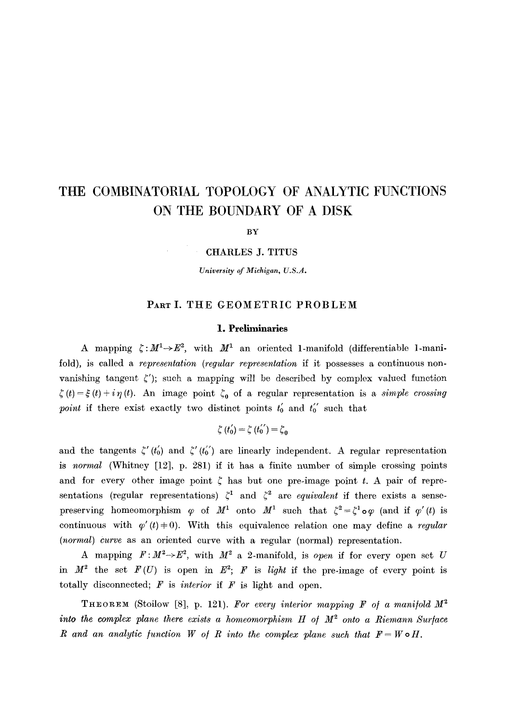# **THE COMBINATORIAL TOPOLOGY OF ANALYTIC FUNCTIONS ON THE BOUNDARY OF A DISK**

BY

CHARLES J. TITUS

*University of Michigan, U.S.A.* 

# **PART** I. THE GEOMETRIC PROBLEM

#### **1. Preliminaries**

A mapping  $\zeta: M^1 \rightarrow E^2$ , with  $M^1$  an oriented 1-manifold (differentiable 1-manifold), is called a *representation (regular representation* if it possesses a continuous nonvanishing tangent  $\zeta'$ ); such a mapping will be described by complex valued function  $\zeta(t) = \xi(t) + i\eta(t)$ . An image point  $\zeta_0$  of a regular representation is a *simple crossing point* if there exist exactly two distinct points  $t_0'$  and  $t_0''$  such that

$$
\zeta(t_{0}^{\prime})=\zeta(t_{0}^{\prime\prime})=\zeta_{0}
$$

and the tangents  $\zeta'(t_0')$  and  $\zeta''(t_0')$  are linearly independent. A regular representation is *normal* (Whitney [12], p. 281) if it has a finite number of simple crossing points and for every other image point  $\zeta$  has but one pre-image point t. A pair of representations (regular representations)  $\zeta^1$  and  $\zeta^2$  are *equivalent* if there exists a sensepreserving homeomorphism  $\varphi$  of  $M^1$  onto  $M^1$  such that  $\zeta^2 = \zeta^1 \circ \varphi$  (and if  $\varphi'(t)$  is continuous with  $\varphi'(t)=0$ . With this equivalence relation one may define a *regular (normal) Curve* as an oriented curve with a regular (normal) representation.

A mapping  $F: M^2 \rightarrow E^2$ , with  $M^2$  a 2-manifold, is *open* if for every open set U in  $M^2$  the set  $F(U)$  is open in  $E^2$ ; F is *light* if the pre-image of every point is totally disconnected;  $F$  is *interior* if  $F$  is light and open.

**THEOREM** (Stoilow [8], p. 121). For every interior mapping F of a manifold  $M^2$ *into the complex plane there exists a homeomorphism H of*  $M^2$  *onto a Riemann Surface R* and an analytic function *W* of *R* into the complex plane such that  $F = W \circ H$ .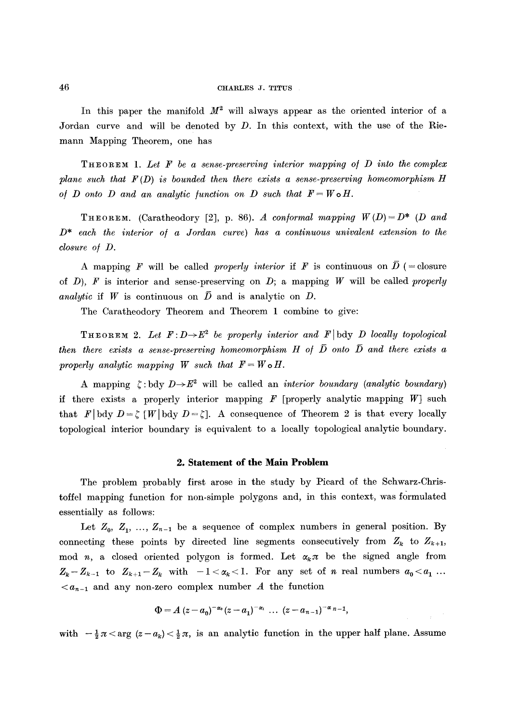In this paper the manifold  $M^2$  will always appear as the oriented interior of a Jordan curve and will be denoted by  $D$ . In this context, with the use of the Riemann Mapping Theorem, one has

THEOREM 1. *Let F be a sense-preserving interior mapping o/ D into the complex plane such that F (D) is bounded then there exists a sense-preserving homeomorphism H of D onto D and an analytic function on D such that*  $F = W \circ H$ .

THEOREM. (Caratheodory [2], p. 86). *A conformal mapping*  $W(D) = D^*$  (*D and D\* each the interior o/ a Jordan curve) has a continuous univalent extension to the closure o/ D.* 

A mapping F will be called *properly interior* if F is continuous on  $\overline{D}$  (= closure of  $D$ ),  $F$  is interior and sense-preserving on  $D$ ; a mapping  $W$  will be called *properly analytic* if W is continuous on  $\overline{D}$  and is analytic on D.

The Caratheodory Theorem and Theorem 1 combine to give:

**THEOREM** 2. Let  $F: D \rightarrow E^2$  be properly interior and  $F$  bdy D locally topological *then there exists a sense-preserving homeomorphism H of*  $\overline{D}$  *onto*  $\overline{D}$  *and there exists a properly analytic mapping W such that*  $F = W \circ H$ .

A mapping  $\zeta : b \, dy \to E^2$  will be called an *interior boundary (analytic boundary)* if there exists a properly interior mapping  $F$  [properly analytic mapping  $W$ ] such that F[bdy  $D=\zeta$  [W[bdy  $D=\zeta$ ]. A consequence of Theorem 2 is that every locally topological interior boundary is equivalent to a locally topological analytic boundary.

#### **2. Statement of the Main Problem**

The problem probably first arose in the study by Picard of the Schwarz-Christoffel mapping function for non-simple polygons and, in this context, was formulated essentially as follows:

Let  $Z_0, Z_1, ..., Z_{n-1}$  be a sequence of complex numbers in general position. By connecting these points by directed line segments consecutively from  $Z_k$  to  $Z_{k+1}$ , mod n, a closed oriented polygon is formed. Let  $\alpha_k \pi$  be the signed angle from  $Z_k-Z_{k-1}$  to  $Z_{k+1}-Z_k$  with  $-1<\alpha_k<1$ . For any set of n real numbers  $a_0< a_1...$  $\langle a_{n-1} \rangle$  and any non-zero complex number A the function

$$
\Phi = A (z - a_0)^{-\alpha_0} (z - a_1)^{-\alpha_1} \dots (z - a_{n-1})^{-\alpha_{n-1}},
$$

with  $-\frac{1}{2}\pi < \arg (z - a_k) < \frac{1}{2}\pi$ , is an analytic function in the upper half plane. Assume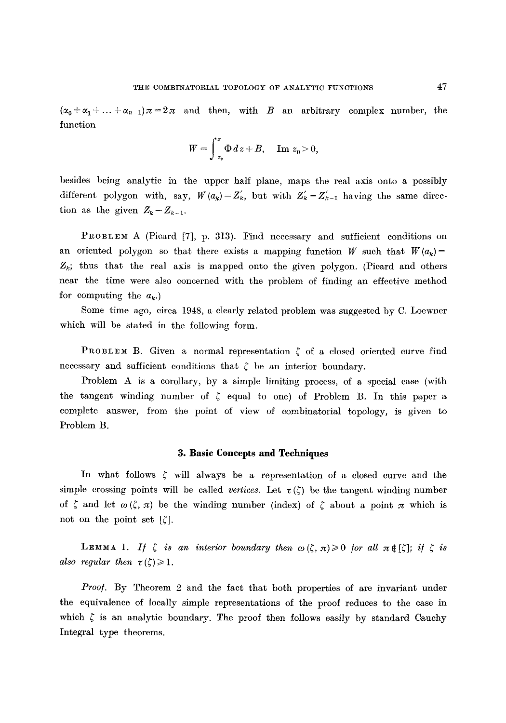$(\alpha_0+\alpha_1+\ldots+\alpha_{n-1})\pi=2\pi$  and then, with B an arbitrary complex number, the function

$$
W=\int_{z_0}^z\Phi\,dz+B,\quad \text{ Im }z_0\geq 0,
$$

besides being analytic in the upper half plane, maps the real axis onto a possibly different polygon with, say,  $W(a_k) = Z'_k$ , but with  $Z'_k = Z'_{k-1}$  having the same direction as the given  $Z_k-Z_{k-1}$ .

PROBLEM A (Picard [7], p. 313). Find necessary and sufficient conditions on an oriented polygon so that there exists a mapping function *W* such that  $W(a_k)$  $Z_k$ ; thus that the real axis is mapped onto the given polygon. (Picard and others near the time were also concerned with the problem of finding an effective method for computing the  $a_k$ .

Some time ago, circa 1948, a clearly related problem was suggested by C. Loewner which will be stated in the following form.

**PROBLEM B.** Given a normal representation  $\zeta$  of a closed oriented curve find necessary and sufficient conditions that  $\zeta$  be an interior boundary.

Problem A is a corollary, by a simple limiting process, of a special case (with the tangent winding number of  $\zeta$  equal to one) of Problem B. In this paper a complete answer, from the point of view of combinatorial topology, is given to Problem B.

## **3. Basic Concepts and Techniques**

In what follows  $\zeta$  will always be a representation of a closed curve and the simple crossing points will be called *vertices*. Let  $\tau(\zeta)$  be the tangent winding number of  $\zeta$  and let  $\omega(\zeta, \pi)$  be the winding number (index) of  $\zeta$  about a point  $\pi$  which is not on the point set  $[\zeta]$ .

**LEMMA 1.** If  $\zeta$  is an interior boundary then  $\omega(\zeta, \pi) \ge 0$  for all  $\pi \notin [\zeta]$ ; if  $\zeta$  is *also regular then*  $\tau(\zeta) \geq 1$ .

*Proof.* By Theorem 2 and the fact that both properties of are invariant under the equivalence of locally simple representations of the proof reduces to the case in which  $\zeta$  is an analytic boundary. The proof then follows easily by standard Cauchy Integral type theorems.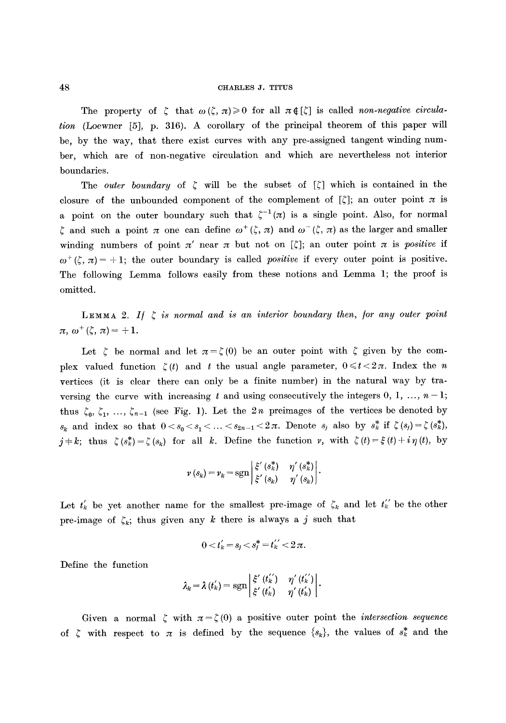The property of  $\zeta$  that  $\omega(\zeta, \pi) \geq 0$  for all  $\pi \notin [\zeta]$  is called *non-negative circulation* (Loewner [5], p. 316). A corollary of the principal theorem of this paper will be, by the way, that there exist curves with any pre-assigned tangent winding number, which are of non-negative circulation and which are nevertheless not interior boundaries.

The *outer boundary* of  $\zeta$  will be the subset of  $\zeta$  which is contained in the closure of the unbounded component of the complement of  $[\zeta]$ ; an outer point  $\pi$  is a point on the outer boundary such that  $\zeta^{-1} (\pi)$  is a single point. Also, for normal  $\zeta$  and such a point  $\pi$  one can define  $\omega^+(\zeta, \pi)$  and  $\omega^-(\zeta, \pi)$  as the larger and smaller winding numbers of point  $\pi'$  near  $\pi$  but not on  $[\zeta]$ ; an outer point  $\pi$  is *positive* if  $\omega^+(\zeta, \pi) = +1$ ; the outer boundary is called *positive* if every outer point is positive. The following Lemma follows easily from these notions and Lemma 1; the proof is omitted.

**LEMMA** 2. If  $\zeta$  is normal and is an interior boundary then, for any outer point  $\pi, \, \omega^+(\zeta, \, \pi) = +1.$ 

Let  $\zeta$  be normal and let  $\pi = \zeta(0)$  be an outer point with  $\zeta$  given by the complex valued function  $\zeta(t)$  and t the usual angle parameter,  $0 \le t < 2\pi$ . Index the n vertices (it is clear there can only be a finite number) in the natural way by traversing the curve with increasing t and using consecutively the integers  $0, 1, ..., n-1$ ; thus  $\zeta_0, \zeta_1, \ldots, \zeta_{n-1}$  (see Fig. 1). Let the 2n preimages of the vertices be denoted by  $s_k$  and index so that  $0 < s_0 < s_1 < \ldots < s_{2n-1} < 2\pi$ . Denote  $s_j$  also by  $s_k^*$  if  $\zeta(s_j) = \zeta(s_k^*)$ ,  $j=k$ ; thus  $\zeta(s_k^*)=\zeta(s_k)$  for all k. Define the function v, with  $\zeta(t)=\xi(t)+i\eta(t)$ , by

$$
\nu(s_k) = \nu_k = \operatorname{sgn}\left|\frac{\xi'(s_k^*)}{\xi'(s_k)} - \eta'(s_k^*)\right|.
$$

Let  $t'_{k}$  be yet another name for the smallest pre-image of  $\zeta_{k}$  and let  $t''_{k}$  be the other pre-image of  $\zeta_k$ ; thus given any k there is always a j such that

$$
0 < t'_k = s_j < s_j^* = t_k^{\'\prime} < 2\pi.
$$

Define the function

$$
\lambda_k = \lambda(t_k') = \operatorname{sgn}\left|\frac{\xi'(t_k')}{\xi'(t_k')}\right| \cdot \frac{\eta'(t_k')}{\eta'(t_k')} \right|.
$$

Given a normal  $\zeta$  with  $\pi = \zeta(0)$  a positive outer point the *intersection sequence* of  $\zeta$  with respect to  $\pi$  is defined by the sequence  $\{s_k\}$ , the values of  $s_k^*$  and the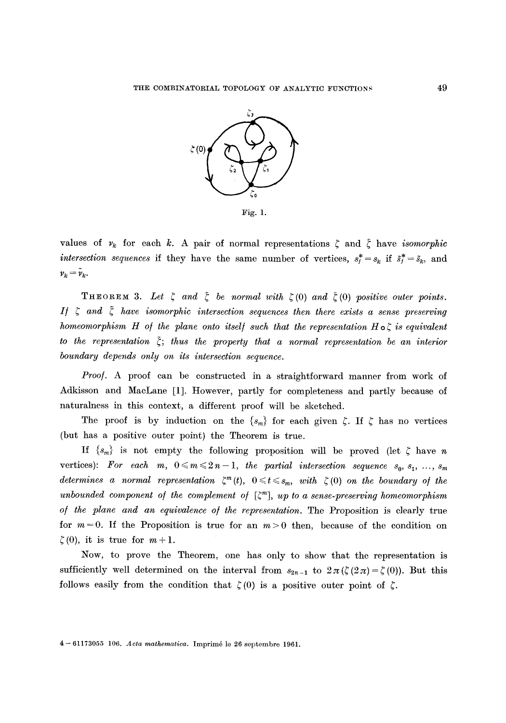

values of  $v_k$  for each k. A pair of normal representations  $\zeta$  and  $\zeta$  have *isomorphic intersection sequences* if they have the same number of vertices,  $s_j^* = s_k$  if  $\tilde{s}_j^* = \tilde{s}_k$ , and  $v_k = \tilde{v}_k.$ 

**THEOREM 3.** Let  $\zeta$  and  $\zeta$  be normal with  $\zeta(0)$  and  $\tilde{\zeta}(0)$  positive outer points. *If*  $\zeta$  and  $\tilde{\zeta}$  have isomorphic intersection sequences then there exists a sense preserving *homeomorphism H of the plane onto itself such that the representation H*  $\circ$   $\zeta$  *is equivalent* to the representation  $\tilde{\zeta}$ ; thus the property that a normal representation be an interior *boundary depends only on its intersection sequence.* 

*Proof.* A proof can be constructed in a straightforward manner from work of Adkisson and MacLane [1]. However, partly for completeness and partly because of naturalness in this context, a different proof will be sketched.

The proof is by induction on the  $\{s_m\}$  for each given  $\zeta$ . If  $\zeta$  has no vertices (but has a positive outer point) the Theorem is true.

If  $\{s_m\}$  is not empty the following proposition will be proved (let  $\zeta$  have n vertices): For each  $m, 0 \le m \le 2n-1$ , the partial intersection sequence  $s_0, s_1, \ldots, s_m$ *determines a normal representation*  $\zeta^m(t)$ ,  $0 \le t \le s_m$ , with  $\zeta(0)$  on the boundary of the *unbounded component of the complement of*  $[\zeta^m]$ , *up to a sense-preserving homeomorphism o/ the plane and an equivalence o/ the representation.* The Proposition is clearly true for  $m = 0$ . If the Proposition is true for an  $m > 0$  then, because of the condition on  $\zeta(0)$ , it is true for  $m+1$ .

Now, to prove the Theorem, one has only to show that the representation is sufficiently well determined on the interval from  $s_{2n-1}$  to  $2\pi(\zeta(2\pi)-\zeta(0))$ . But this follows easily from the condition that  $\zeta(0)$  is a positive outer point of  $\zeta$ .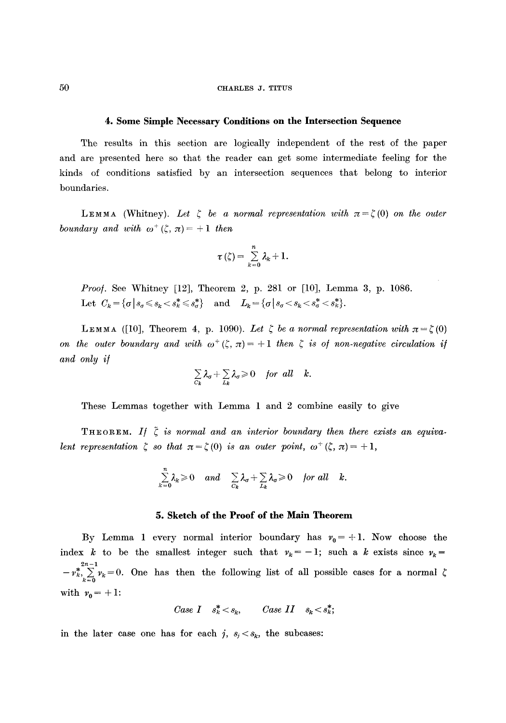#### **4. Some Simple Necessary Conditions on the Intersection Sequence**

The results in this section are logically independent of the rest of the paper and are presented here so that the reader can get some intermediate feeling for the kinds of conditions satisfied by an intersection sequences that belong to interior boundaries.

LEMMA (Whitney). Let  $\zeta$  be a normal representation with  $\pi = \zeta(0)$  on the outer *boundary and with*  $\omega^+(\zeta, \pi) = +1$  then

$$
\tau(\zeta)=\sum_{k=0}^n\lambda_k+1.
$$

*Proof.* See Whitney [12], Theorem 2, p. 281 or [10], Lemma 3, p. 1086. Let  $C_k = \{ \sigma \mid s_{\sigma} \leqslant s_k < s_k^* \leqslant s_{\sigma}^* \}$  and  $L_k = \{ \sigma \mid s_{\sigma} < s_k < s_{\sigma}^* < s_k^* \}.$ 

LEMMA ([10], Theorem 4, p. 1090). Let  $\zeta$  be a normal representation with  $\pi = \zeta(0)$ *on the outer boundary and with*  $\omega^+(\zeta, \pi) = +1$  *then*  $\zeta$  *is of non-negative circulation if and only i/* 

$$
\sum_{C_k} \lambda_{\sigma} + \sum_{L_k} \lambda_{\sigma} \geq 0 \quad \text{for all} \quad k.
$$

These Lemmas together with Lemma 1 and 2 combine easily to give

THEOREM. If  $\tilde{\zeta}$  is normal and an interior boundary then there exists an equiva*lent representation*  $\zeta$  *so that*  $\pi = \zeta(0)$  *is an outer point,*  $\omega^+(\zeta, \pi) = +1$ ,

$$
\sum_{k=0}^n \lambda_k \geq 0 \quad and \quad \sum_{C_k} \lambda_{\sigma} + \sum_{L_k} \lambda_{\sigma} \geq 0 \quad \text{for all} \quad k.
$$

#### **5. Sketch of the Proof of the Main Theorem**

By Lemma 1 every normal interior boundary has  $v_0 = +1$ . Now choose the index k to be the smallest integer such that  $v_k=-1$ ; such a k exists since  $v_k =$  $-v_k^*$ ,  $\sum_{k=0}^{2n-1} v_k = 0$ . One has then the following list of all possible cases for a normal with  $v_0 = + 1$ :

Case I 
$$
s_k^* < s_k
$$
, Case II  $s_k < s_k^*$ ;

in the later case one has for each j,  $s_j < s_k$ , the subcases: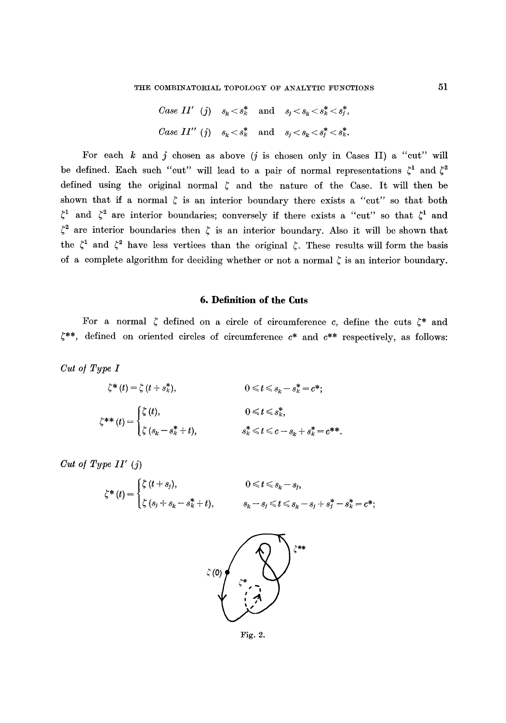Case II' (j) 
$$
s_k < s_k^*
$$
 and  $s_j < s_k < s_k^* < s_j^*$ ,\n\nCase II' (j)  $s_k < s_k^*$  and  $s_j < s_k < s_j^* < s_k^*$ .

For each  $k$  and  $j$  chosen as above (*j* is chosen only in Cases II) a "cut" will be defined. Each such "cut" will lead to a pair of normal representations  $\zeta^1$  and  $\zeta^2$ defined using the original normal  $\zeta$  and the nature of the Case. It will then be shown that if a normal  $\zeta$  is an interior boundary there exists a "cut" so that both  $\zeta^1$  and  $\zeta^2$  are interior boundaries; conversely if there exists a "cut" so that  $\zeta^1$  and  $\zeta^2$  are interior boundaries then  $\zeta$  is an interior boundary. Also it will be shown that the  $\zeta^1$  and  $\zeta^2$  have less vertices than the original  $\zeta$ . These results will form the basis of a complete algorithm for deciding whether or not a normal  $\zeta$  is an interior boundary.

#### **6. Definition of the Cuts**

For a normal  $\zeta$  defined on a circle of circumference *c*, define the cuts  $\zeta^*$  and  $\zeta^{**}$ , defined on oriented circles of circumference  $c^*$  and  $c^{**}$  respectively, as follows:

*Cut o/ Type I* 

$$
\zeta^*(t) = \zeta(t + s_k^*), \qquad 0 \leq t \leq s_k - s_k^* = c^*;
$$
  

$$
\zeta^{**}(t) = \begin{cases} \zeta(t), & 0 \leq t \leq s_k^*, \\ \zeta(s_k - s_k^* + t), & s_k^* \leq t \leq c - s_k + s_k^* = c^{**}.\end{cases}
$$

*Cut o/Type I1' (j)* 

$$
\zeta^*(t) = \begin{cases} \zeta(t+s_j), & 0 \leq t \leq s_k - s_j, \\ \zeta(s_j+s_k-s_k^*+t), & s_k - s_j \leq t \leq s_k - s_j + s_j^* - s_k^* = c^*; \end{cases}
$$



Fig. 2.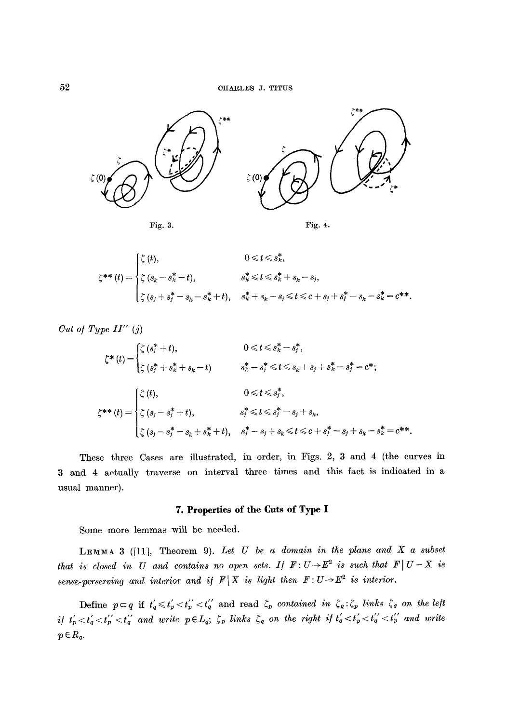



$$
\zeta^{**}(t) = \begin{cases} \zeta(t), & 0 \leq t \leq s_k^*, \\ \zeta(s_k - s_k^* - t), & s_k^* \leq t \leq s_k^* + s_k - s_j, \\ \zeta(s_j + s_j^* - s_k - s_k^* + t), & s_k^* + s_k - s_j \leq t \leq c + s_j + s_j^* - s_k - s_k^* = c^{**}. \end{cases}
$$

*Cut o/Type LI" (j)* 

$$
\zeta^*(t) = \begin{cases}\n\zeta (s_i^* + t), & 0 \le t \le s_k^* - s_j^*, \\
\zeta (s_i^* + s_k^* + s_k - t) & s_k^* - s_j^* \le t \le s_k + s_j + s_k^* - s_j^* = c^*; \\
\zeta^*(t) = \begin{cases}\n\zeta (t), & 0 \le t \le s_j^*, \\
\zeta (s_j - s_j^* + t), & s_j^* \le t \le s_j^* - s_j + s_k, \\
\zeta (s_j - s_j^* - s_k + s_k^* + t), & s_j^* - s_j + s_k \le t \le c + s_j^* - s_j + s_k - s_k^* = c^{**}.\n\end{cases}
$$

These three Cases are illustrated, in order, in Figs. 2, 3 and 4 (the curves in 3 and 4 actually traverse on interval three times and this fact is indicated in a usual manner).

# **7. Properties of the Cuts of Type I**

Some more lemmas will be needed.

LEMMA 3 ([11], Theorem 9). Let U be a domain in the plane and X a subset *that is closed in U and contains no open sets. If*  $F: U \rightarrow E^2$  *is such that*  $F \mid U - X$  *is sense-perserving and interior and if*  $F|X$  *is light then*  $F: U \rightarrow E^2$  *is interior.* 

Define  $p \subset q$  if  $t_q \leq t_p' < t_q''$  and read  $\zeta_p$  contained in  $\zeta_q : \zeta_p$  links  $\zeta_q$  on the left *if*  $t'_p < t'_q < t''_p < t''_q$  and write  $p \in L_q$ ;  $\zeta_p$  links  $\zeta_q$  on the right if  $t'_q < t'_p < t''_q < t''_p$  and write  $p \in R_q$ .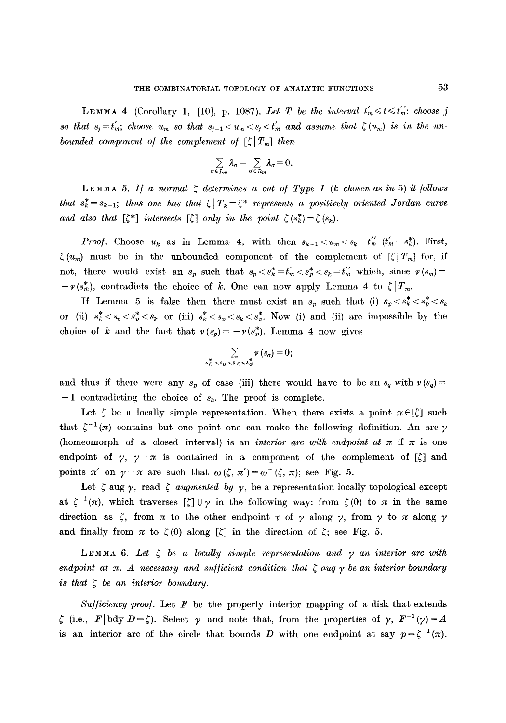LEMMA 4 (Corollary 1, [10], p. 1087). Let T be the interval  $t'_m \leq t \leq t''_m$ : choose j so that  $s_j = t'_m$ ; *choose*  $u_m$  so that  $s_{j-1} < u_m < s_j < t'_m$  and assume that  $\zeta(u_m)$  is in the un*bounded component of the complement of*  $\lbrack \zeta \rbrack T_m$  *then* 

$$
\sum_{\sigma \in L_m} \lambda_{\sigma} = \sum_{\sigma \in R_m} \lambda_{\sigma} = 0.
$$

LEMMA 5. If a normal  $\zeta$  determines a cut of Type I (k chosen as in 5) it follows *that*  $s_k^* = s_{k-1}$ ; *thus one has that*  $\zeta | T_k = \zeta^*$  represents a positively oriented Jordan curve *and also that*  $[\zeta^*]$  *intersects*  $[\zeta]$  *only in the point*  $\zeta(s_k^*) = \zeta(s_k)$ .

*Proof.* Choose  $u_k$  as in Lemma 4, with then  $s_{k-1} < u_m < s_k = t_m^{\''}$   $(t'_m = s_k^*)$ . First,  $\zeta(u_m)$  must be in the unbounded component of the complement of  $[\zeta |T_m]$  for, if not, there would exist an  $s_p$  such that  $s_p < s_k^* = t'_m < s_p^* < s_k = t'_m$  which, since  $v(s_m) =$  $-v(s_m^*)$ , contradicts the choice of k. One can now apply Lemma 4 to  $\zeta|_{T_m}$ .

If Lemma 5 is false then there must exist an  $s_p$  such that (i)  $s_p < s_k^* < s_p^* < s_k$ or (ii)  $s_k^* < s_p < s_k^*$  or (iii)  $s_k^* < s_p < s_k < s_p^*$ . Now (i) and (ii) are impossible by the choice of k and the fact that  $v(s_p)=-v(s_p^*)$ . Lemma 4 now gives

$$
\sum_{s_k^* \leq s_\sigma \leq s_k < s_\sigma^*} \nu(s_\sigma) = 0;
$$

and thus if there were any  $s_p$  of case (iii) there would have to be an  $s_q$  with  $\nu(s_q)$  =  $-1$  contradicting the choice of  $s_k$ . The proof is complete.

Let  $\zeta$  be a locally simple representation. When there exists a point  $\pi \in [\zeta]$  such that  $\zeta^{-1}(\pi)$  contains but one point one can make the following definition. An arc  $\gamma$ (homeomorph of a closed interval) is an *interior arc with endpoint at*  $\pi$  if  $\pi$  is one endpoint of  $\gamma$ ,  $\gamma - \pi$  is contained in a component of the complement of  $[\zeta]$  and points  $\pi'$  on  $\gamma-\pi$  are such that  $\omega(\zeta, \pi')=\omega^+(\zeta, \pi)$ ; see Fig. 5.

Let  $\zeta$  aug  $\gamma$ , read  $\zeta$  *augmented by*  $\gamma$ , be a representation locally topological except at  $\zeta^{-1} (\pi)$ , which traverses  $[\zeta] \cup \gamma$  in the following way: from  $\zeta (0)$  to  $\pi$  in the same direction as  $\zeta$ , from  $\pi$  to the other endpoint  $\tau$  of  $\gamma$  along  $\gamma$ , from  $\gamma$  to  $\pi$  along  $\gamma$ and finally from  $\pi$  to  $\zeta(0)$  along  $[\zeta]$  in the direction of  $\zeta$ ; see Fig. 5.

LEMMA 6. Let  $\zeta$  be a locally simple representation and  $\gamma$  an interior arc with *endpoint at*  $\pi$ *. A necessary and sufficient condition that*  $\zeta$  *aug*  $\gamma$  *be an interior boundary is that ~ be an interior boundary.* 

*Sufficiency proof.* Let  $F$  be the properly interior mapping of a disk that extends  $\zeta$  (i.e.,  $F[\text{bdy }D=\zeta]$ ). Select  $\gamma$  and note that, from the properties of  $\gamma$ ,  $F^{-1}(\gamma)=A$ is an interior arc of the circle that bounds D with one endpoint at say  $p=\zeta^{-1}(x)$ .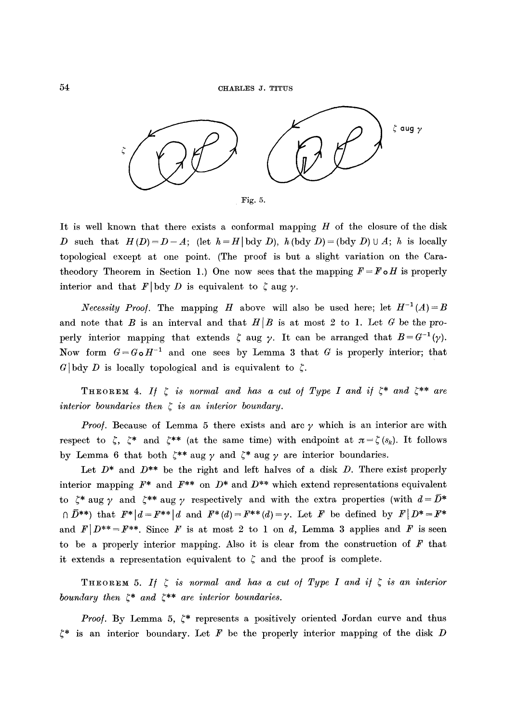

It is well known that there exists a conformal mapping  $H$  of the closure of the disk D such that  $H(D)=D-A$ ; (let  $h=H|\text{bdy }D$ ),  $h(\text{bdy }D)=(\text{bdy }D)\cup A$ ; h is locally topological except at one point. (The proof is but a slight variation on the Caratheodory Theorem in Section 1.) One now sees that the mapping  $F = F \circ H$  is properly interior and that  $F | \text{bdy} D$  is equivalent to  $\zeta$  aug  $\gamma$ .

*Necessity Proof.* The mapping H above will also be used here; let  $H^{-1}(A)=B$ and note that B is an interval and that  $H/B$  is at most 2 to 1. Let G be the properly interior mapping that extends  $\zeta$  aug  $\gamma$ . It can be arranged that  $B = G^{-1}(\gamma)$ . Now form  $G = G \circ H^{-1}$  and one sees by Lemma 3 that G is properly interior; that G | bdy D is locally topological and is equivalent to  $\zeta$ .

THEOREM 4. If  $\zeta$  is normal and has a cut of Type I and if  $\zeta^*$  and  $\zeta^{**}$  are *interior boundaries then*  $\zeta$  *is an interior boundary.* 

*Proof.* Because of Lemma 5 there exists and arc  $\gamma$  which is an interior arc with respect to  $\zeta$ ,  $\zeta^*$  and  $\zeta^{**}$  (at the same time) with endpoint at  $\pi = \zeta(s_k)$ . It follows by Lemma 6 that both  $\xi^{**}$  aug  $\gamma$  and  $\xi^*$  aug  $\gamma$  are interior boundaries.

Let  $D^*$  and  $D^{**}$  be the right and left halves of a disk D. There exist properly interior mapping  $F^*$  and  $F^{**}$  on  $D^*$  and  $D^{**}$  which extend representations equivalent to  $\zeta^*$  aug  $\gamma$  and  $\zeta^{**}$  aug  $\gamma$  respectively and with the extra properties (with  $d = \overline{D}^*$  $\bigcap \overline{D}^{**}\big)$  that  $F^*|d=F^{**}|d$  and  $F^*(d)=F^{**}(d)=\gamma$ . Let F be defined by  $F|D^*=F^*$ and  $F|D^{**}=F^{**}$ . Since F is at most 2 to 1 on d, Lemma 3 applies and F is seen to be a properly interior mapping. Also it is clear from the construction of  $F$  that it extends a representation equivalent to  $\zeta$  and the proof is complete.

THEOREM 5. If  $\zeta$  is normal and has a cut of Type I and if  $\zeta$  is an interior *boundary then*  $\xi^*$  *and*  $\xi^{**}$  *are interior boundaries.* 

*Proof.* By Lemma 5,  $\zeta^*$  represents a positively oriented Jordan curve and thus  $\zeta^*$  is an interior boundary. Let F be the properly interior mapping of the disk D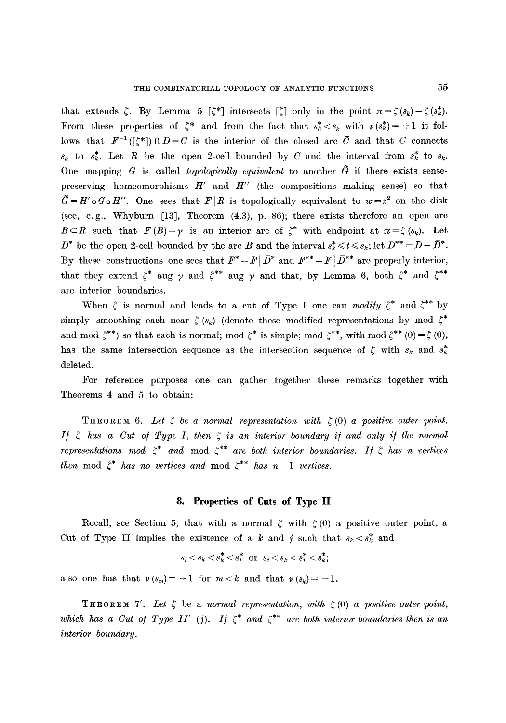that extends  $\zeta$ . By Lemma 5  $[\zeta^*]$  intersects  $[\zeta]$  only in the point  $\pi = \zeta(s_k) = \zeta(s_k^*)$ . From these properties of  $\zeta^*$  and from the fact that  $s_k^* < s_k$  with  $\nu(s_k^*) = +1$  it follows that  $F^{-1}([\zeta^*])\cap D= C$  is the interior of the closed arc  $\bar{C}$  and that  $\bar{C}$  connects  $s_k$  to  $s_k^*$ . Let R be the open 2-cell bounded by C and the interval from  $s_k^*$  to  $s_k$ . One mapping  $G$  is called *topologically equivalent* to another  $\tilde{G}$  if there exists sensepreserving homeomorphisms  $H'$  and  $H''$  (the compositions making sense) so that  $\tilde{G}=H'\circ G\circ H''$ . One sees that  $F/R$  is topologically equivalent to  $w=z^2$  on the disk (see, e.g., Whyburn [13], Theorem (4.3), p. 86); there exists therefore an open are  $B\subset R$  such that  $F(B)=\gamma$  is an interior arc of  $\zeta^*$  with endpoint at  $\pi=\zeta(s_k)$ . Let  $D^*$  be the open 2-cell bounded by the arc B and the interval  $s_k^* \leq t \leq s_k$ ; let  $D^{**} = D - \overline{D}^*$ . By these constructions one sees that  $\mathbf{F}^* = \mathbf{F} | \bar{D}^*$  and  $\mathbf{F}^{**} = \mathbf{F} | \bar{D}^{**}$  are properly interior, that they extend  $\zeta^*$  aug  $\gamma$  and  $\zeta^{**}$  aug  $\gamma$  and that, by Lemma 6, both  $\zeta^*$  and  $\zeta^{**}$ are interior boundaries.

When  $\zeta$  is normal and leads to a cut of Type I one can *modify*  $\zeta^*$  and  $\zeta^{**}$  by simply smoothing each near  $\zeta(s_k)$  (denote these modified representations by mod  $\zeta^*$ and mod  $\zeta^{**}$ ) so that each is normal; mod  $\zeta^*$  is simple; mod  $\zeta^{**}$ , with mod  $\zeta^{**}$  (0) =  $\zeta$  (0), has the same intersection sequence as the intersection sequence of  $\zeta$  with  $s_k$  and  $s_k^*$ deleted.

For reference purposes one can gather together these remarks together with Theorems 4 and 5 to obtain:

THEOREM 6. Let  $\zeta$  be a normal representation with  $\zeta(0)$  a positive outer point. *If*  $\zeta$  has a Cut of Type I, then  $\zeta$  is an interior boundary if and only if the normal *representations mod*  $\zeta^*$  and mod  $\zeta^{**}$  are both interior boundaries. If  $\zeta$  has n vertices *then* mod  $\zeta^*$  *has no vertices and* mod  $\zeta^{**}$  *has n-1 vertices.* 

#### **8. Properties of Cuts of Type II**

Recall, see Section 5, that with a normal  $\zeta$  with  $\zeta$  (0) a positive outer point, a Cut of Type II implies the existence of a k and j such that  $s_k < s_k^*$  and

$$
s_j < s_k < s_k^* < s_j^* \text{ or } s_j < s_k < s_j^* < s_k^*;
$$

also one has that  $\nu(s_m) = +1$  for  $m < k$  and that  $\nu(s_k) = -1$ .

THEOREM 7'. Let  $\zeta$  be a *normal representation, with*  $\zeta(0)$  a positive outer point, which has a Cut of Type II' (j). If  $\zeta^*$  and  $\zeta^{**}$  are both interior boundaries then is an *interior boundary.*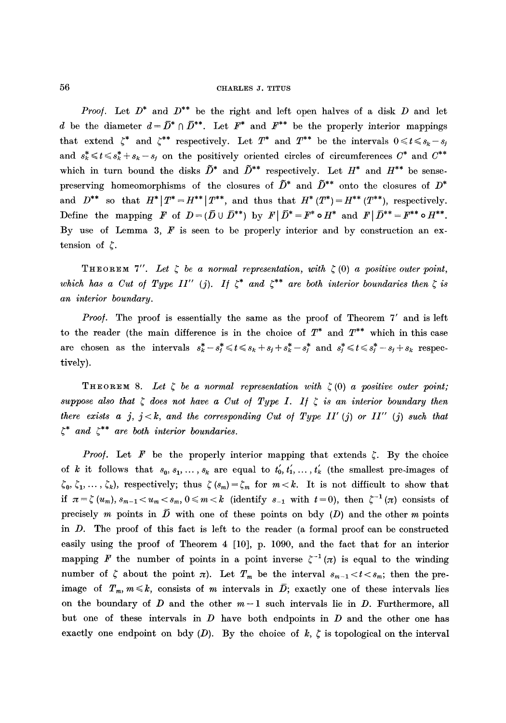*Proof.* Let  $D^*$  and  $D^{**}$  be the right and left open halves of a disk  $D$  and let d be the diameter  $d=\bar{D}^*\cap\bar{D}^{**}$ . Let  $F^*$  and  $F^{**}$  be the properly interior mappings that extend  $\zeta^*$  and  $\zeta^{**}$  respectively. Let  $T^*$  and  $T^{**}$  be the intervals  $0 \leq t \leq s_k - s_j$ and  $s_k^* \le t \le s_k^* + s_k - s_j$  on the positively oriented circles of circumferences  $C^*$  and  $C^{**}$ which in turn bound the disks  $\tilde{D}^*$  and  $\tilde{D}^{**}$  respectively. Let  $H^*$  and  $H^{**}$  be sensepreserving homeomorphisms of the closures of  $\tilde{D}^*$  and  $\tilde{D}^{**}$  onto the closures of  $D^*$ and  $D^{**}$  so that  $H^* | T^* = H^{**} | T^{**}$ , and thus that  $H^* (T^*) = H^{**} (T^{**})$ , respectively. Define the mapping F of  $D=(\overline{D}\cup \overline{D}^{**})$  by  $F|\overline{D}^*=F^*\circ H^*$  and  $F|\overline{D}^{**}=F^{**}\circ H^{**}.$ By use of Lemma 3,  $F$  is seen to be properly interior and by construction an extension of  $\zeta$ .

THEOREM 7". Let  $\zeta$  be a normal representation, with  $\zeta$  (0) a positive outer point, which has a Cut of Type II" (j). If  $\zeta^*$  and  $\zeta^{**}$  are both interior boundaries then  $\zeta$  is *an interior boundary.* 

*Proo/.* The proof is essentially the same as the proof of Theorem 7' and is left to the reader (the main difference is in the choice of  $T^*$  and  $T^{**}$  which in this case are chosen as the intervals  $s_k^* - s_j^* \leq t \leq s_k + s_j + s_k^* - s_j^*$  and  $s_j^* \leq t \leq s_j^* - s_j + s_k$  respectively).

**THEOREM** 8. Let  $\zeta$  be a normal representation with  $\zeta(0)$  a positive outer point; suppose also that  $\zeta$  does not have a Cut of Type I. If  $\zeta$  is an interior boundary then *there exists a j, j < k, and the corresponding Cut of Type II' (j) or II'' (j) such that*  $\zeta^*$  and  $\zeta^{**}$  are both interior boundaries.

*Proof.* Let F be the properly interior mapping that extends  $\zeta$ . By the choice of k it follows that  $s_0, s_1, \ldots, s_k$  are equal to  $t'_0, t'_1, \ldots, t'_k$  (the smallest pre-images of  $\zeta_0, \zeta_1, \ldots, \zeta_k$ ), respectively; thus  $\zeta(s_m) = \zeta_m$  for  $m < k$ . It is not difficult to show that if  $\pi = \zeta(u_m), s_{m-1} < u_m < s_m, 0 \leqslant m < k$  (identify  $s_{-1}$  with  $t = 0$ ), then  $\zeta^{-1}(\pi)$  consists of precisely m points in  $\overline{D}$  with one of these points on bdy (D) and the other m points in D. The proof of this fact is left to the reader (a formal proof can be constructed easily using the proof of Theorem 4 [10], p. 1090, and the fact that for an interior mapping F the number of points in a point inverse  $\zeta^{-1}(\pi)$  is equal to the winding number of  $\zeta$  about the point  $\pi$ ). Let  $T_m$  be the interval  $s_{m-1} < t < s_m$ ; then the preimage of  $T_m$ ,  $m \leq k$ , consists of m intervals in  $\overline{D}$ ; exactly one of these intervals lies on the boundary of  $D$  and the other  $m-1$  such intervals lie in  $D$ . Furthermore, all but one of these intervals in  $D$  have both endpoints in  $D$  and the other one has exactly one endpoint on bdy  $(D)$ . By the choice of  $k, \zeta$  is topological on the interval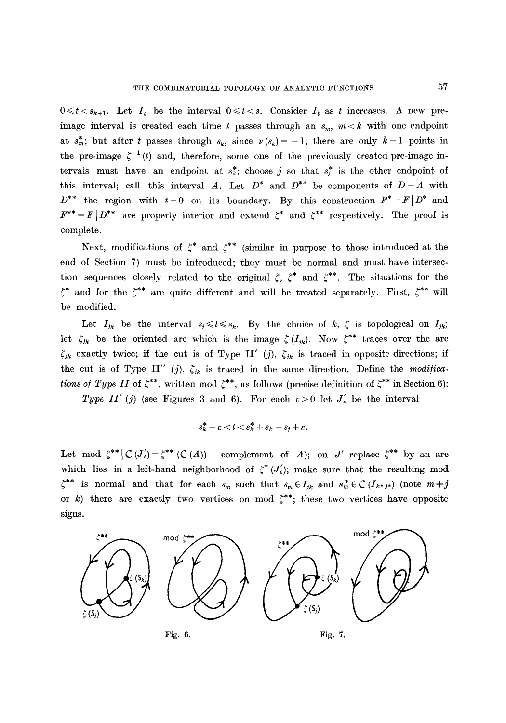$0 \leq t \leq s_{k+1}$ . Let  $I_s$  be the interval  $0 \leq t \leq s$ . Consider  $I_t$  as t increases. A new preimage interval is created each time t passes through an  $s_m$ ,  $m < k$  with one endpoint at  $s_m^*$ ; but after t passes through  $s_k$ , since  $v(s_k) = -1$ , there are only  $k-1$  points in the pre-image  $\zeta^{-1}(t)$  and, therefore, some one of the previously created pre-image intervals must have an endpoint at  $s_i^*$ ; choose j so that  $s_i^*$  is the other endpoint of this interval; call this interval A. Let  $D^*$  and  $D^{**}$  be components of  $D-A$  with  $D^{**}$  the region with  $t=0$  on its boundary. By this construction  $F^* = F|D^*$  and  $F^{**} = F | D^{**}$  are properly interior and extend  $\zeta^*$  and  $\zeta^{**}$  respectively. The proof is complete.

Next, modifications of  $\zeta^*$  and  $\zeta^{**}$  (similar in purpose to those introduced at the end of Section 7) must be introduced; they must be normal and must have intersection sequences closely related to the original  $\zeta$ ,  $\zeta^*$  and  $\zeta^{**}$ . The situations for the  $\zeta^*$  and for the  $\zeta^{**}$  are quite different and will be treated separately. First,  $\zeta^{**}$  will be modified.

Let  $I_{jk}$  be the interval  $s_j \leq t \leq s_k$ . By the choice of k,  $\zeta$  is topological on  $I_{jk}$ ; let  $\zeta_{ik}$  be the oriented arc which is the image  $\zeta(I_{ik})$ . Now  $\zeta^{**}$  traces over the arc  $\zeta_{jk}$  exactly twice; if the cut is of Type II' (j),  $\zeta_{jk}$  is traced in opposite directions; if the cut is of Type II" (j),  $\zeta_{jk}$  is traced in the same direction. Define the *modifications of Type II* of  $\zeta^{**}$ , written mod  $\zeta^{**}$ , as follows (precise definition of  $\zeta^{**}$  in Section 6):

*Type II' (j)* (see Figures 3 and 6). For each  $\varepsilon > 0$  let  $J_{\varepsilon}'$  be the interval

$$
s_k^* - \varepsilon < t < s_k^* + s_k - s_j + \varepsilon.
$$

Let mod  $\zeta^{**} \mid C(J'_c) = \zeta^{**}$  (C(A)) = complement of A); on J' replace  $\zeta^{**}$  by an arc which lies in a left-hand neighborhood of  $\zeta^*(J'_s)$ ; make sure that the resulting mod  $\zeta^{**}$  is normal and that for each  $s_m$  such that  $s_m \in I_{jk}$  and  $s_m^* \in C(I_{k^*j^*})$  (note  $m \neq j$ or k) there are exactly two vertices on mod  $\zeta^{**}$ ; these two vertices have opposite signs.

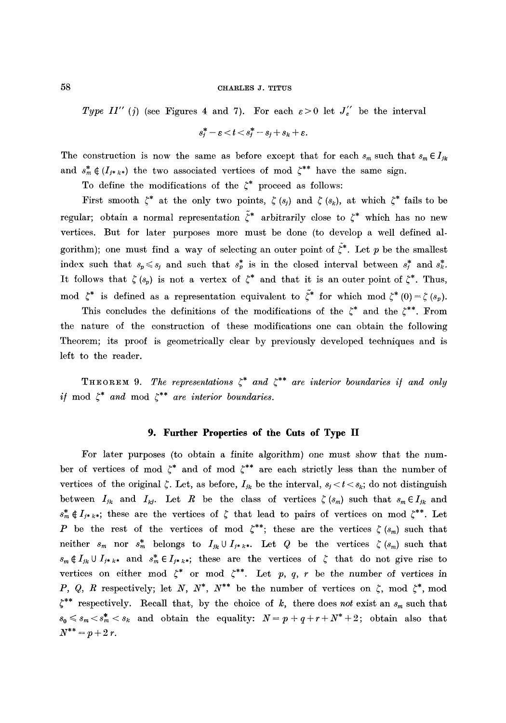*Type II"* (*j*) (see Figures 4 and 7). For each  $\varepsilon > 0$  let  $J_{\varepsilon}''$  be the interval

$$
s_j^* - \varepsilon < t < s_j^* - s_j + s_k + \varepsilon.
$$

The construction is now the same as before except that for each  $s_m$  such that  $s_m \in I_{jk}$ and  $s_m^* \notin (I_{j^*k^*})$  the two associated vertices of mod  $\zeta^{**}$  have the same sign.

To define the modifications of the  $\zeta^*$  proceed as follows:

First smooth  $\zeta^*$  at the only two points,  $\zeta(s_i)$  and  $\zeta(s_k)$ , at which  $\zeta^*$  fails to be regular; obtain a normal representation  $\tilde{\zeta}^*$  arbitrarily close to  $\zeta^*$  which has no new vertices. But for later purposes more must be done (to develop a well defined algorithm); one must find a way of selecting an outer point of  $\tilde{\zeta}^*$ . Let p be the smallest index such that  $s_p \le s_j$  and such that  $s_p^*$  is in the closed interval between  $s_i^*$  and  $s_k^*$ . It follows that  $\zeta(s_p)$  is not a vertex of  $\zeta^*$  and that it is an outer point of  $\zeta^*$ . Thus, mod  $\zeta^*$  is defined as a representation equivalent to  $\tilde{\zeta}^*$  for which mod  $\zeta^*(0) = \zeta(s_n)$ .

This concludes the definitions of the modifications of the  $\zeta^*$  and the  $\zeta^{**}$ . From the nature of the construction of these modifications one can obtain the following Theorem; its proof is geometrically clear by previously developed techniques and is left to the reader.

**THEOREM 9.** *The representations*  $\zeta^*$  *and*  $\zeta^{**}$  *are interior boundaries if and only* if mod  $\zeta^*$  and mod  $\zeta^{**}$  are interior boundaries.

# **9. Further Properties of the Cuts of Type II**

For later purposes (to obtain a finite algorithm) one must show that the number of vertices of mod  $\zeta^*$  and of mod  $\zeta^{**}$  are each strictly less than the number of vertices of the original  $\zeta$ . Let, as before,  $I_{jk}$  be the interval,  $s_j < t < s_k$ ; do not distinguish between  $I_{jk}$  and  $I_{kj}$ . Let R be the class of vertices  $\zeta(s_m)$  such that  $s_m \in I_{jk}$  and  $s_m^* \notin I_{j^*k^*}$ ; these are the vertices of  $\zeta$  that lead to pairs of vertices on mod  $\zeta^{**}$ . Let P be the rest of the vertices of mod  $\zeta^{**}$ ; these are the vertices  $\zeta(s_m)$  such that neither  $s_m$  nor  $s_m^*$  belongs to  $I_{jk} \cup I_{j^*k^*}$ . Let Q be the vertices  $\zeta(s_m)$  such that  $s_m \notin I_{jk} \cup I_{j*k*}$  and  $s_m^* \in I_{j*k*}$ ; these are the vertices of  $\zeta$  that do not give rise to vertices on either mod  $\zeta^*$  or mod  $\zeta^{**}$ . Let p, q, r be the number of vertices in P, Q, R respectively; let N, N<sup>\*</sup>, N<sup>\*\*</sup> be the number of vertices on  $\zeta$ , mod  $\zeta^*$ , mod  $\zeta^{**}$  respectively. Recall that, by the choice of  $k$ , there does *not* exist an  $s_m$  such that  $s_0 \leq s_m < s_m^* < s_k$  and obtain the equality:  $N=p+q+r+N^*+2$ ; obtain also that  $N^{**}=p+2r$ .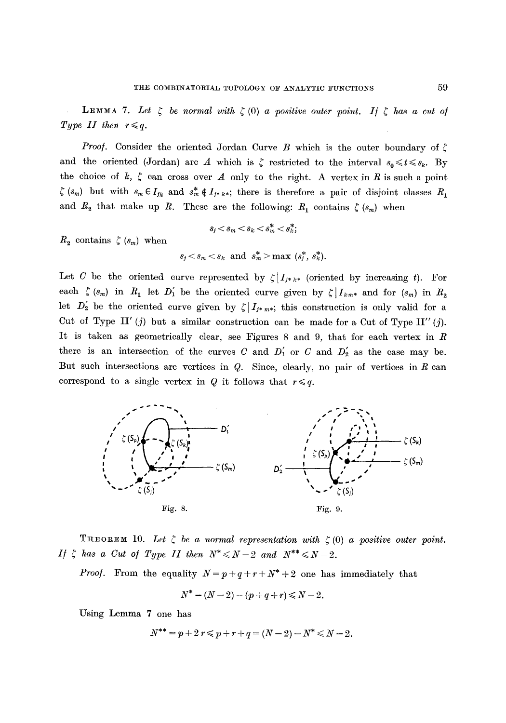**LEMMA** 7. Let  $\zeta$  be normal with  $\zeta$  (0) a positive outer point. If  $\zeta$  has a cut of *Type II then*  $r \leq q$ .

*Proof.* Consider the oriented Jordan Curve B which is the outer boundary of  $\zeta$ and the oriented (Jordan) arc A which is  $\zeta$  restricted to the interval  $s_0 \leq t \leq s_k$ . By the choice of  $k, \zeta$  can cross over A only to the right. A vertex in R is such a point  $\zeta$  ( $s_m$ ) but with  $s_m \in I_{jk}$  and  $s_m^* \notin I_{j* k*}$ ; there is therefore a pair of disjoint classes  $R_1$ and  $R_2$  that make up R. These are the following:  $R_1$  contains  $\zeta$  ( $s_m$ ) when

$$
s_j < s_m < s_k < s_m^* < s_k^*;
$$

 $R_2$  contains  $\zeta$  ( $s_m$ ) when

$$
s_j < s_m < s_k
$$
 and  $s_m^* > \max(s_j^*, s_k^*)$ .

Let C be the oriented curve represented by  $\zeta |_{I_{j*k*}}$  (oriented by increasing t). For each  $\zeta$  (s<sub>m</sub>) in  $R_1$  let  $D'_1$  be the oriented curve given by  $\zeta |I_{km*}$  and for (s<sub>m</sub>) in  $R_2$ let  $D'_2$  be the oriented curve given by  $\zeta |_{I_{j*m^*}}$ ; this construction is only valid for a Cut of Type II' (j) but a similar construction can be made for a Cut of Type II'' (j). It is taken as geometrically clear, see Figures 8 and 9, that for each vertex in  $R$ there is an intersection of the curves C and  $D'_1$  or C and  $D'_2$  as the case may be. But such intersections are vertices in  $Q$ . Since, clearly, no pair of vertices in  $R$  can correspond to a single vertex in Q it follows that  $r \leq q$ .



THEOREM 10. Let  $\zeta$  be a normal representation with  $\zeta$  (0) a positive outer point. *If*  $\zeta$  has a Cut of Type II then  $N^* \le N-2$  and  $N^{**} \le N-2$ .

*Proof.* From the equality  $N = p + q + r + N^* + 2$  one has immediately that

$$
N^* = (N-2) - (p+q+r) \le N-2.
$$

Using Lemma 7 one has

$$
N^{**} = p + 2 r \leqslant p + r + q = (N - 2) - N^* \leqslant N - 2.
$$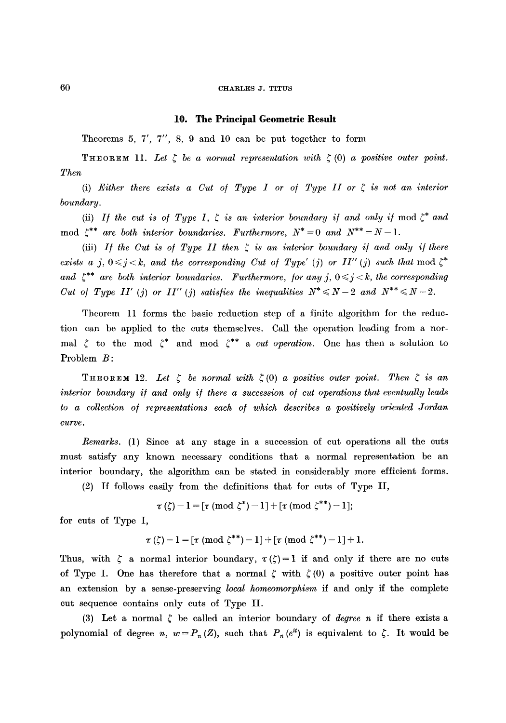#### **10. The Principal Geometric Result**

Theorems 5, 7', 7", 8, 9 and 10 can be put together to form

THEOREM 11. Let  $\zeta$  be a normal representation with  $\zeta$  (0) a positive outer point. *Then* 

(i) *Either there exists a Cut of Type I or of Type II or*  $\zeta$  *is not an interior boundary.* 

(ii) *If the cut is of Type I,*  $\zeta$  *is an interior boundary if and only if* mod  $\zeta^*$  and mod  $\zeta^{**}$  are both interior boundaries. Furthermore,  $N^* = 0$  and  $N^{**} = N - 1$ .

(iii) *If the Cut is of Type II then*  $\xi$  *is an interior boundary if and only if there exists a j,*  $0 \le j \le k$ , and the corresponding Cut of Type' (j) or II'' (j) such that mod  $\zeta^*$ and  $\zeta^{**}$  are both interior boundaries. Furthermore, for any j,  $0 \leq j \leq k$ , the corresponding *Cut of Type II' (j) or II'' (j) satisfies the inequalities*  $N^* \le N - 2$  and  $N^{**} \le N - 2$ .

Theorem 11 forms the basic reduction step of a finite algorithm for the reduction can be applied to the cuts themselves. Call the operation leading from a normal  $\zeta$  to the mod  $\zeta^*$  and mod  $\zeta^{**}$  a *cut operation*. One has then a solution to Problem  $B$ :

**THEOREM** 12. Let  $\zeta$  be normal with  $\zeta(0)$  a positive outer point. Then  $\zeta$  is an *interior boundary if and only if there a succession of cut operations that eventually leads* to a collection of representations each of which describes a positively oriented Jordan *curve.* 

*Remarks.* (1) Since at any stage in a succession of cut operations all the cuts must satisfy any known necessary conditions that a normal representation be an interior boundary, the algorithm can be stated in considerably more efficient forms.

(2) If follows easily from the definitions that for cuts of Type II,

 $\tau(\zeta) - 1 = [\tau \pmod{\zeta^*} - 1] + [\tau \pmod{\zeta^{**}} - 1];$ 

for cuts of Type I,

$$
\tau(\zeta) - 1 = [\tau \pmod{\zeta^{**}} - 1] + [\tau \pmod{\zeta^{**}} - 1] + 1.
$$

Thus, with  $\zeta$  a normal interior boundary,  $\tau(\zeta)=1$  if and only if there are no cuts of Type I. One has therefore that a normal  $\zeta$  with  $\zeta(0)$  a positive outer point has an extension by a sense-preserving *local homeomorphism* if and only ff the complete cut sequence contains only cuts of Type II.

(3) Let a normal  $\zeta$  be called an interior boundary of *degree n* if there exists a polynomial of degree *n*,  $w = P_n(Z)$ , such that  $P_n(e^{it})$  is equivalent to  $\zeta$ . It would be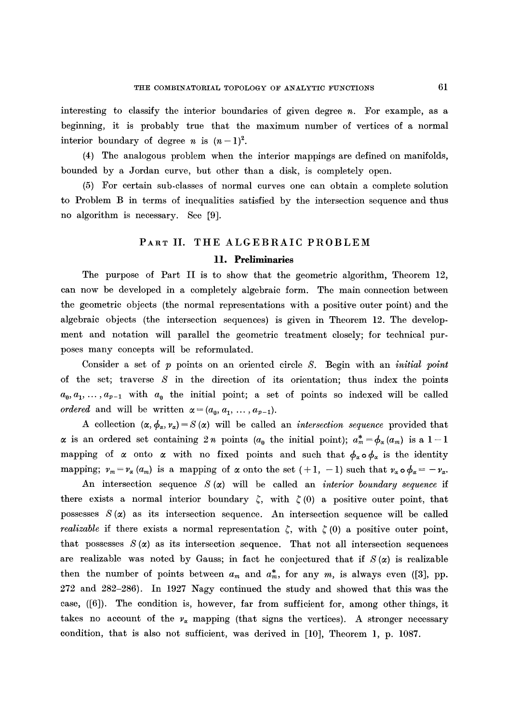interesting to classify the interior boundaries of given degree  $n$ . For example, as a beginning, it is probably true that the maximum number of vertices of a normal interior boundary of degree *n* is  $(n-1)^2$ .

(4) The analogous problem when the interior mappings are defined on manifolds, bounded by a Jordan curve, but other than a disk, is completely open.

(5) For certain sub-classes of normal curves one can obtain a complete solution to Problem B in terms of inequalities satisfied by the intersection sequence and thus no algorithm is necessary. See [9].

# PART II. THE ALGEBRAIC PROBLEM 11. **Preliminaries**

The purpose of Part II is to show that the geometric algorithm, Theorem 12, can now be developed in a completely algebraic form. The main connection between the geometric objects (the normal representations with a positive outer point) and the algebraic objects (the intersection sequences) is given in Theorem 12. The development and notation will parallel the geometric treatment closely; for technical purposes many concepts will be reformulated.

Consider a set of p points on an oriented circle S. Begin with an *initial point*  of the set; traverse  $S$  in the direction of its orientation; thus index the points  $a_0, a_1, \ldots, a_{p-1}$  with  $a_0$  the initial point; a set of points so indexed will be called *ordered* and will be written  $\alpha = (a_0, a_1, \ldots, a_{p-1}).$ 

A collection  $(\alpha, \phi_\alpha, \psi_\alpha) = S(\alpha)$  will be called an *intersection sequence* provided that  $\alpha$  is an ordered set containing 2n points (a<sub>0</sub> the initial point);  $a_m^* = \phi_\alpha(a_m)$  is a 1-1 mapping of  $\alpha$  onto  $\alpha$  with no fixed points and such that  $\phi_{\alpha} \circ \phi_{\alpha}$  is the identity mapping;  $v_m = v_\alpha (a_m)$  is a mapping of  $\alpha$  onto the set  $(+1, -1)$  such that  $v_\alpha \circ \phi_\alpha = -v_\alpha$ .

An intersection sequence  $S(\alpha)$  will be called an *interior boundary sequence* if there exists a normal interior boundary  $\zeta$ , with  $\zeta$  (0) a positive outer point, that possesses  $S(\alpha)$  as its intersection sequence. An intersection sequence will be called *realizable* if there exists a normal representation  $\zeta$ , with  $\zeta(0)$  a positive outer point, that possesses  $S(\alpha)$  as its intersection sequence. That not all intersection sequences are realizable was noted by Gauss; in fact he conjectured that if  $S(\alpha)$  is realizable then the number of points between  $a_m$  and  $a_m^*$ , for any m, is always even ([3], pp. 272 and 282-286). In 1927 Nagy continued the study and showed that this was the case, ([6]). The condition is, however, far from sufficient for, among other things, it takes no account of the  $v_x$  mapping (that signs the vertices). A stronger necessary condition, that is also not sufficient, was derived in [10], Theorem 1, p. 1087.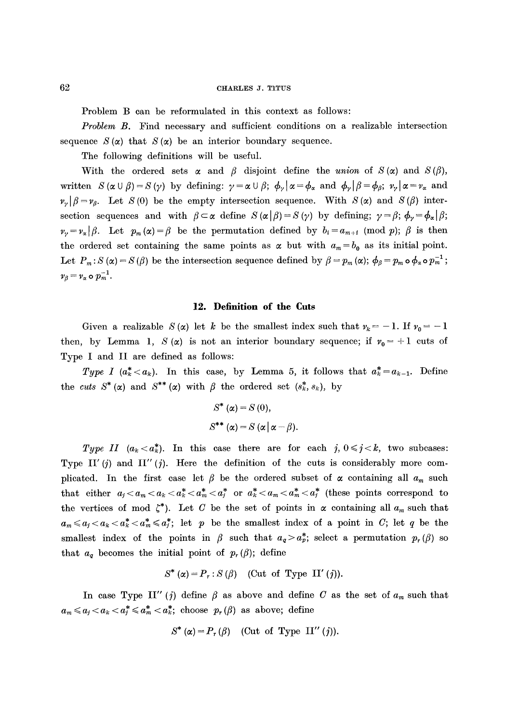Problem B can be reformulated in this context as follows:

*Problem B.* Find necessary and sufficient conditions on a realizable intersection sequence  $S(\alpha)$  that  $S(\alpha)$  be an interior boundary sequence.

The following definitions will be useful.

With the ordered sets  $\alpha$  and  $\beta$  disjoint define the *union* of  $S(\alpha)$  and  $S(\beta)$ , written  $S(\alpha \cup \beta)=S(\gamma)$  by defining:  $\gamma=\alpha \cup \beta$ ;  $\phi_{\gamma}|\alpha=\phi_{\alpha}$  and  $\phi_{\gamma}|\beta=\phi_{\beta}$ ;  $v_{\gamma}|\alpha=v_{\alpha}$  and  $\nu_{\nu}|\beta = \nu_{\beta}$ . Let S(0) be the empty intersection sequence. With S( $\alpha$ ) and S( $\beta$ ) intersection sequences and with  $\beta \subset \alpha$  define  $S(\alpha | \beta) = S(\gamma)$  by defining;  $\gamma = \beta$ ;  $\phi_{\gamma} = \phi_{\alpha} | \beta$ ;  $\nu_{\nu}=v_{\alpha}|\beta$ . Let  $p_m(\alpha)=\beta$  be the permutation defined by  $b_i=a_{m+i} \pmod{p}$ ;  $\beta$  is then the ordered set containing the same points as  $\alpha$  but with  $a_m = b_0$  as its initial point. Let  $P_m$ :  $S(\alpha) = S(\beta)$  be the intersection sequence defined by  $\beta = p_m(\alpha)$ ;  $\phi_{\beta} = p_m \circ \phi_{\alpha} \circ p_m^{-1}$ ;  $v_{\beta} = v_{\alpha} \circ p_m^{-1}.$ 

## **12. Definition of the Cuts**

Given a realizable  $S(\alpha)$  let k be the smallest index such that  $\nu_k = -1$ . If  $\nu_0 = -1$ then, by Lemma 1, S ( $\alpha$ ) is not an interior boundary sequence; if  $r_0 = +1$  cuts of Type I and II are defined as follows:

Type I ( $a^*_k < a_k$ ). In this case, by Lemma 5, it follows that  $a^*_k = a_{k-1}$ . Define the *cuts*  $S^*(\alpha)$  and  $S^{**}(\alpha)$  with  $\beta$  the ordered set  $(s_k^*, s_k)$ , by

$$
S^* (\alpha) = S (0),
$$
  

$$
S^{**} (\alpha) = S (\alpha | \alpha - \beta).
$$

*Type II*  $(a_k < a_k^*)$ . In this case there are for each  $j, 0 \le j < k$ , two subcases: Type II' (i) and II'' (i). Here the definition of the cuts is considerably more complicated. In the first case let  $\beta$  be the ordered subset of  $\alpha$  containing all  $a_m$  such that either  $a_j < a_m < a_k < a_m^* < a_m^* < a_j^*$  or  $a_k^* < a_m < a_m^* < a_n^*$  (these points correspond to the vertices of mod  $\zeta^*$ ). Let C be the set of points in  $\alpha$  containing all  $a_m$  such that  $a_m \leq a_j < a_k < a^*_k < a^*_m \leq a^*_j$ ; let p be the smallest index of a point in C; let q be the smallest index of the points in  $\beta$  such that  $a_q > a_p^*$ ; select a permutation  $p_r(\beta)$  so that  $a_q$  becomes the initial point of  $p_r(\beta)$ ; define

$$
S^*(\alpha) = P_r : S(\beta) \quad \text{(Cut of Type II'}(j)).
$$

In case Type II" (j) define  $\beta$  as above and define C as the set of  $a_m$  such that  $a_m \leq a_i < a_k < a_m^* \leq a_m^* < a_k^*$ ; choose  $p_r(\beta)$  as above; define

$$
S^*(\alpha) = P_r(\beta) \quad \text{(Cut of Type II''(j))}.
$$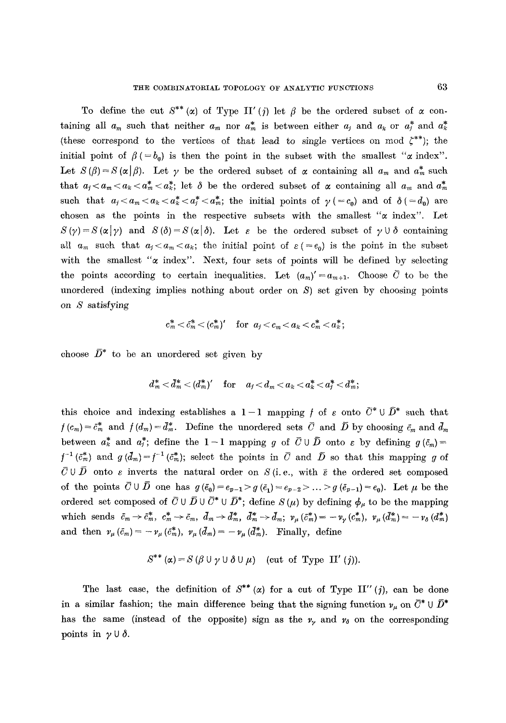To define the cut  $S^{**}(\alpha)$  of Type II' (j) let  $\beta$  be the ordered subset of  $\alpha$  containing all  $a_m$  such that neither  $a_m$  nor  $a_m^*$  is between either  $a_j$  and  $a_k$  or  $a_j^*$  and  $a_k^*$ (these correspond to the vertices of that lead to single vertices on mod  $\zeta^{**}$ ); the initial point of  $\beta$  ( $=b_0$ ) is then the point in the subset with the smallest " $\alpha$  index". Let  $S(\beta)=S(\alpha|\beta)$ . Let y be the ordered subset of  $\alpha$  containing all  $a_m$  and  $a_m^*$  such that  $a_j < a_m < a_k < a_m^* < a_k^*$ ; let  $\delta$  be the ordered subset of  $\alpha$  containing all  $a_m$  and  $a_m^*$ such that  $a_i < a_m < a_k < a^*_i < a^*_m$ ; the initial points of  $\gamma$  (= c<sub>0</sub>) and of  $\delta$  (= d<sub>0</sub>) are chosen as the points in the respective subsets with the smallest  $\alpha$  index". Let  $S(\gamma)=S(\alpha|\gamma)$  and  $S(\delta)=S(\alpha|\delta)$ . Let  $\varepsilon$  be the ordered subset of  $\gamma\cup\delta$  containing all  $a_m$  such that  $a_j < a_m < a_k$ ; the initial point of  $\varepsilon (=e_0)$  is the point in the subset with the smallest " $\alpha$  index". Next, four sets of points will be defined by selecting the points according to certain inequalities. Let  $(a_m)'=a_{m+1}$ . Choose  $\overline{C}$  to be the unordered (indexing implies nothing about order on  $S$ ) set given by choosing points on S satisfying

$$
c_m^* < \tilde{c}_m^* < (c_m^*)' \quad \text{ for } a_j < c_m < a_k < c_m^* < a_k^*;
$$

choose  $\bar{D}^*$  to be an unordered set given by

$$
d^*_m<\bar{d}^*_m<({d}^*_m)' \quad \text{for} \quad a_j\!<\!d_m\!<\!a_k\!<\!a^*_k\!<\!a^*_j\!<\!d^*_m;
$$

this choice and indexing establishes a  $1-1$  mapping f of  $\varepsilon$  onto  $\bar{C}^* \cup \bar{D}^*$  such that  $f(c_m) = \bar{c}_m^*$  and  $f(d_m) = \bar{d}_m^*$ . Define the unordered sets  $\bar{C}$  and  $\bar{D}$  by choosing  $\bar{c}_m$  and  $\bar{d}_m$ between  $a^*_k$  and  $a^*_j$ ; define the 1-1 mapping g of  $\bar{C} \cup \bar{D}$  onto s by defining  $g(\bar{c}_m)$  $f^{-1}(\bar{c}_m^*)$  and  $g(d_m)=f^{-1}(\bar{c}_m^*)$ ; select the points in  $\bar{C}$  and  $\bar{D}$  so that this mapping g of  $\bar{C} \cup \bar{D}$  onto  $\varepsilon$  inverts the natural order on  $S$  (i.e., with  $\bar{\varepsilon}$  the ordered set composed of the points  $\overline{C} \cup \overline{D}$  one has  $g(\overline{e}_0) = e_{p-1} > g(\overline{e}_1) = e_{p-2} > ... > g(\overline{e}_{p-1}) = e_0$ . Let  $\mu$  be the ordered set composed of  $\bar{C} \cup \bar{D} \cup \bar{C}^* \cup \bar{D}^*$ ; define  $S (\mu)$  by defining  $\phi_\mu$  to be the mapping which sends  $\bar{c}_m \to \bar{c}_m^*$ ,  $c_m^* \to \bar{c}_m$ ,  $\bar{d}_m \to \bar{d}_m^*$ ,  $\bar{d}_m^* \to \bar{d}_m$ ;  $\nu_\mu (\bar{c}_m^*) = -\nu_\gamma (c_m^*)$ ,  $\nu_\mu (\bar{d}_m^*) = -\nu_\delta (d_m^*)$ and then  $v_{\mu}(\tilde{c}_m) = -v_{\mu}(\tilde{c}_m^*)$ ,  $v_{\mu}(d_m) = -v_{\mu}(d_m^*)$ . Finally, define

$$
S^{**}(\alpha) = S(\beta \cup \gamma \cup \delta \cup \mu) \quad (\text{cut of Type II'}(j)).
$$

The last case, the definition of  $S^{**}(\alpha)$  for a cut of Type II" (j), can be done in a similar fashion; the main difference being that the signing function  $\nu_u$  on  $\bar{C}^* \cup \bar{D}^*$ has the same (instead of the opposite) sign as the  $\nu_{\nu}$  and  $\nu_{\delta}$  on the corresponding points in  $\gamma \cup \delta$ .